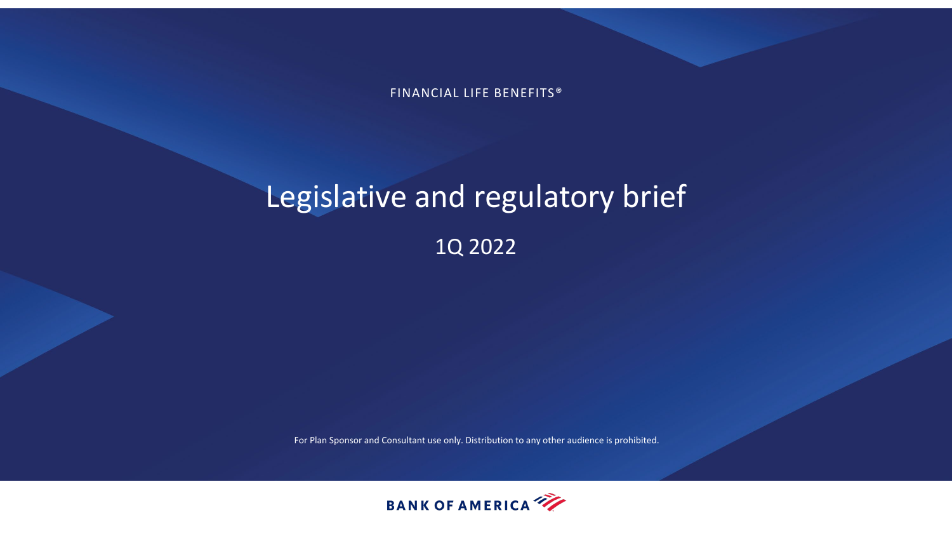FINANCIAL LIFE BENEFITS®

# Legislative and regulatory brief 1Q 2022

For Plan Sponsor and Consultant use only. Distribution to any other audience is prohibited.

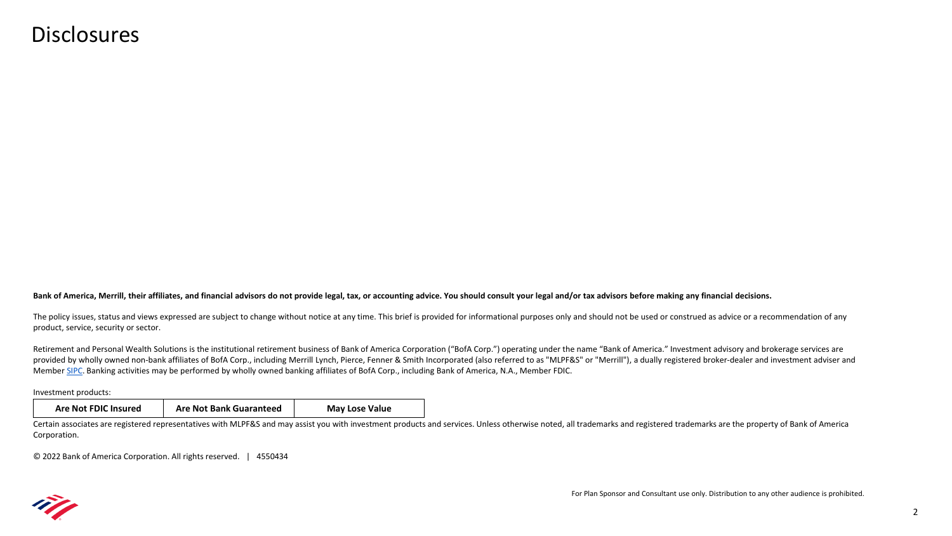#### **Disclosures**

**Bank of America, Merrill, their affiliates, and financial advisors do not provide legal, tax, or accounting advice. You should consult your legal and/or tax advisors before making any financial decisions.**

The policy issues, status and views expressed are subject to change without notice at any time. This brief is provided for informational purposes only and should not be used or construed as advice or a recommendation of an product, service, security or sector.

Retirement and Personal Wealth Solutions is the institutional retirement business of Bank of America Corporation ("BofA Corp.") operating under the name "Bank of America." Investment advisory and brokerage services are provided by wholly owned non-bank affiliates of BofA Corp., including Merrill Lynch, Pierce, Fenner & Smith Incorporated (also referred to as "MLPF&S" or "Merrill"), a dually registered broker-dealer and investment adviser Member [SIPC](https://www.sipc.org/). Banking activities may be performed by wholly owned banking affiliates of BofA Corp., including Bank of America, N.A., Member FDIC.

Investment products:

| <b>Are Not FDIC Insured</b> | <b>Are Not Bank Guaranteed</b> | <b>May Lose Value</b> |
|-----------------------------|--------------------------------|-----------------------|
|-----------------------------|--------------------------------|-----------------------|

Certain associates are registered representatives with MLPF&S and may assist you with investment products and services. Unless otherwise noted, all trademarks and registered trademarks are the property of Bank of America Corporation.

© 2022 Bank of America Corporation. All rights reserved. | 4550434

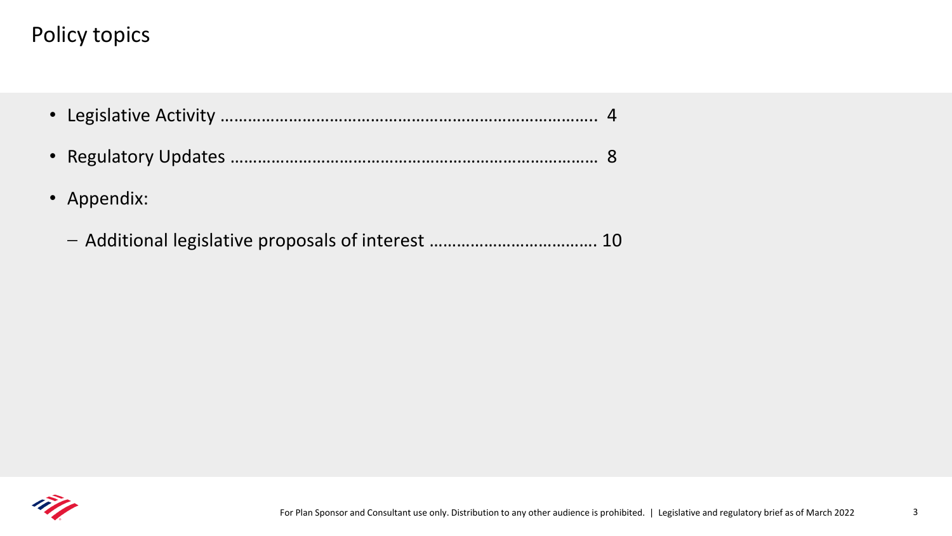## Policy topics

| • Appendix:                                        |  |
|----------------------------------------------------|--|
| - Additional legislative proposals of interest  10 |  |

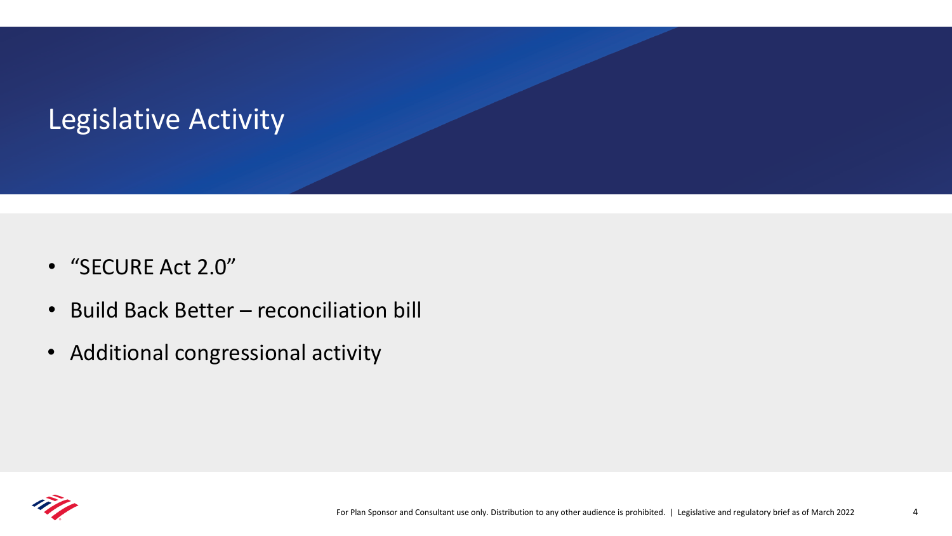# <span id="page-3-0"></span>Legislative Activity

- "SECURE Act 2.0"
- Build Back Better reconciliation bill
- Additional congressional activity

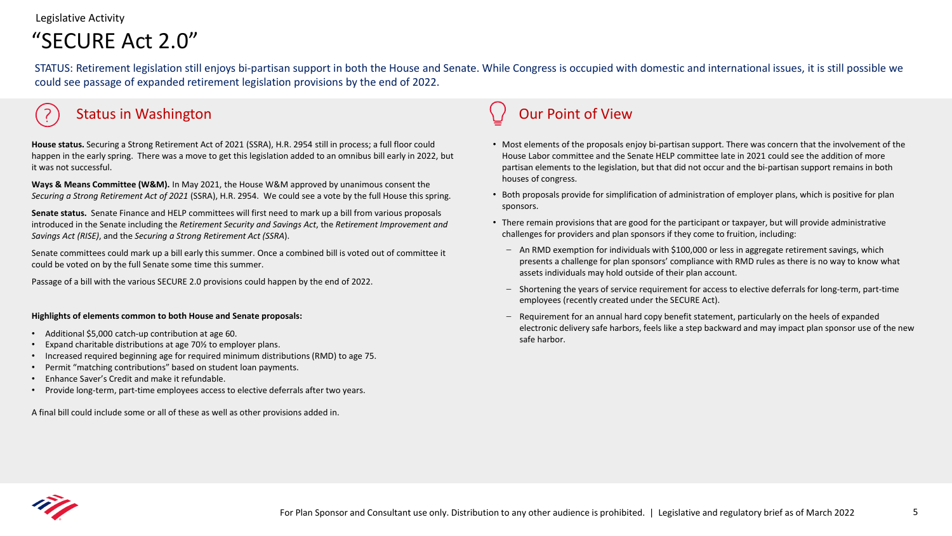Legislative Activity

## "SECURE Act 2.0"

STATUS: Retirement legislation still enjoys bi-partisan support in both the House and Senate. While Congress is occupied with domestic and international issues, it is still possible we could see passage of expanded retirement legislation provisions by the end of 2022.

### Status in Washington Communication Communication Communication Communication Communication Communication Communication Communication Communication Communication Communication Communication Communication Communication Commu

**House status.** Securing a Strong Retirement Act of 2021 (SSRA), H.R. 2954 still in process; a full floor could happen in the early spring. There was a move to get this legislation added to an omnibus bill early in 2022, but it was not successful.

**Ways & Means Committee (W&M).** In May 2021, the House W&M approved by unanimous consent the *Securing a Strong Retirement Act of 2021* (SSRA), H.R. 2954. We could see a vote by the full House this spring.

**Senate status.** Senate Finance and HELP committees will first need to mark up a bill from various proposals introduced in the Senate including the *Retirement Security and Savings Act*, the *Retirement Improvement and Savings Act (RISE)*, and the *Securing a Strong Retirement Act (SSRA*).

Senate committees could mark up a bill early this summer. Once a combined bill is voted out of committee it could be voted on by the full Senate some time this summer.

Passage of a bill with the various SECURE 2.0 provisions could happen by the end of 2022.

#### **Highlights of elements common to both House and Senate proposals:**

- Additional \$5,000 catch-up contribution at age 60.
- Expand charitable distributions at age 70½ to employer plans.
- Increased required beginning age for required minimum distributions (RMD) to age 75.
- Permit "matching contributions" based on student loan payments.
- Enhance Saver's Credit and make it refundable.
- Provide long-term, part-time employees access to elective deferrals after two years.

A final bill could include some or all of these as well as other provisions added in.

- Most elements of the proposals enjoy bi-partisan support. There was concern that the involvement of the House Labor committee and the Senate HELP committee late in 2021 could see the addition of more partisan elements to the legislation, but that did not occur and the bi-partisan support remains in both houses of congress.
- Both proposals provide for simplification of administration of employer plans, which is positive for plan sponsors.
- There remain provisions that are good for the participant or taxpayer, but will provide administrative challenges for providers and plan sponsors if they come to fruition, including:
	- An RMD exemption for individuals with \$100,000 or less in aggregate retirement savings, which presents a challenge for plan sponsors' compliance with RMD rules as there is no way to know what assets individuals may hold outside of their plan account.
	- Shortening the years of service requirement for access to elective deferrals for long-term, part-time employees (recently created under the SECURE Act).
	- Requirement for an annual hard copy benefit statement, particularly on the heels of expanded electronic delivery safe harbors, feels like a step backward and may impact plan sponsor use of the new safe harbor.

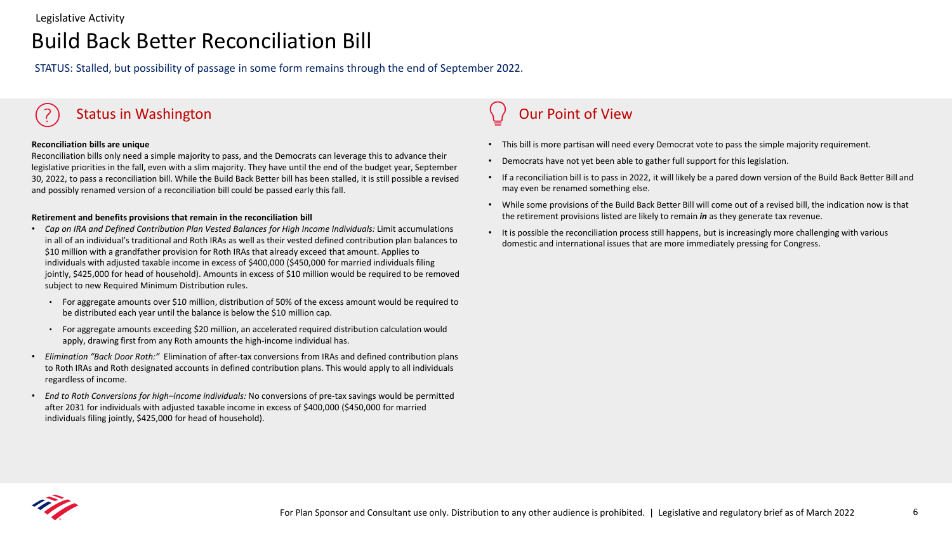## Build Back Better Reconciliation Bill

STATUS: Stalled, but possibility of passage in some form remains through the end of September 2022.

### Status in Washington Communication Communication Communication Communication Communication Communication Communication Communication Communication Communication Communication Communication Communication Communication Commu

#### **Reconciliation bills are unique**

Reconciliation bills only need a simple majority to pass, and the Democrats can leverage this to advance their legislative priorities in the fall, even with a slim majority. They have until the end of the budget year, September 30, 2022, to pass a reconciliation bill. While the Build Back Better bill has been stalled, it is still possible a revised and possibly renamed version of a reconciliation bill could be passed early this fall.

#### **Retirement and benefits provisions that remain in the reconciliation bill**

- *Cap on IRA and Defined Contribution Plan Vested Balances for High Income Individuals:* Limit accumulations in all of an individual's traditional and Roth IRAs as well as their vested defined contribution plan balances to \$10 million with a grandfather provision for Roth IRAs that already exceed that amount. Applies to individuals with adjusted taxable income in excess of \$400,000 (\$450,000 for married individuals filing jointly, \$425,000 for head of household). Amounts in excess of \$10 million would be required to be removed subject to new Required Minimum Distribution rules.
	- For aggregate amounts over \$10 million, distribution of 50% of the excess amount would be required to be distributed each year until the balance is below the \$10 million cap.
	- For aggregate amounts exceeding \$20 million, an accelerated required distribution calculation would apply, drawing first from any Roth amounts the high-income individual has.
- *Elimination "Back Door Roth:"* Elimination of after-tax conversions from IRAs and defined contribution plans to Roth IRAs and Roth designated accounts in defined contribution plans. This would apply to all individuals regardless of income.
- *End to Roth Conversions for high–income individuals:* No conversions of pre-tax savings would be permitted after 2031 for individuals with adjusted taxable income in excess of \$400,000 (\$450,000 for married individuals filing jointly, \$425,000 for head of household).

- This bill is more partisan will need every Democrat vote to pass the simple majority requirement.
- Democrats have not yet been able to gather full support for this legislation.
- If a reconciliation bill is to pass in 2022, it will likely be a pared down version of the Build Back Better Bill and may even be renamed something else.
- While some provisions of the Build Back Better Bill will come out of a revised bill, the indication now is that the retirement provisions listed are likely to remain *in* as they generate tax revenue.
- It is possible the reconciliation process still happens, but is increasingly more challenging with various domestic and international issues that are more immediately pressing for Congress.

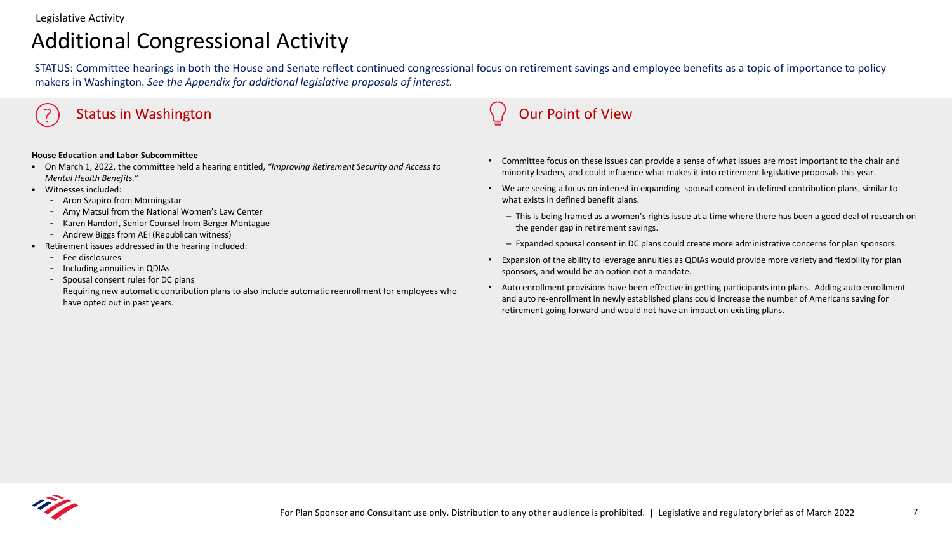## Additional Congressional Activity

STATUS: Committee hearings in both the House and Senate reflect continued congressional focus on retirement savings and employee benefits as a topic of importance to policy makers in Washington. *See the Appendix for additional legislative proposals of interest.*

#### Status in Washington Communication Communication Communication Communication Communication Communication Communication Communication Communication Communication Communication Communication Communication Communication Commu

#### **House Education and Labor Subcommittee**

- On March 1, 2022, the committee held a hearing entitled, *"Improving Retirement Security and Access to Mental Health Benefits.*"
- Witnesses included:
	- Aron Szapiro from Morningstar
	- Amy Matsui from the National Women's Law Center
	- Karen Handorf, Senior Counsel from Berger Montague
	- Andrew Biggs from AEI (Republican witness)
- Retirement issues addressed in the hearing included:
	- Fee disclosures
	- Including annuities in QDIAs
	- Spousal consent rules for DC plans
	- Requiring new automatic contribution plans to also include automatic reenrollment for employees who have opted out in past years.

- Committee focus on these issues can provide a sense of what issues are most important to the chair and minority leaders, and could influence what makes it into retirement legislative proposals this year.
- We are seeing a focus on interest in expanding spousal consent in defined contribution plans, similar to what exists in defined benefit plans.
	- This is being framed as a women's rights issue at a time where there has been a good deal of research on the gender gap in retirement savings.
	- Expanded spousal consent in DC plans could create more administrative concerns for plan sponsors.
- Expansion of the ability to leverage annuities as QDIAs would provide more variety and flexibility for plan sponsors, and would be an option not a mandate.
- Auto enrollment provisions have been effective in getting participants into plans. Adding auto enrollment and auto re-enrollment in newly established plans could increase the number of Americans saving for retirement going forward and would not have an impact on existing plans.

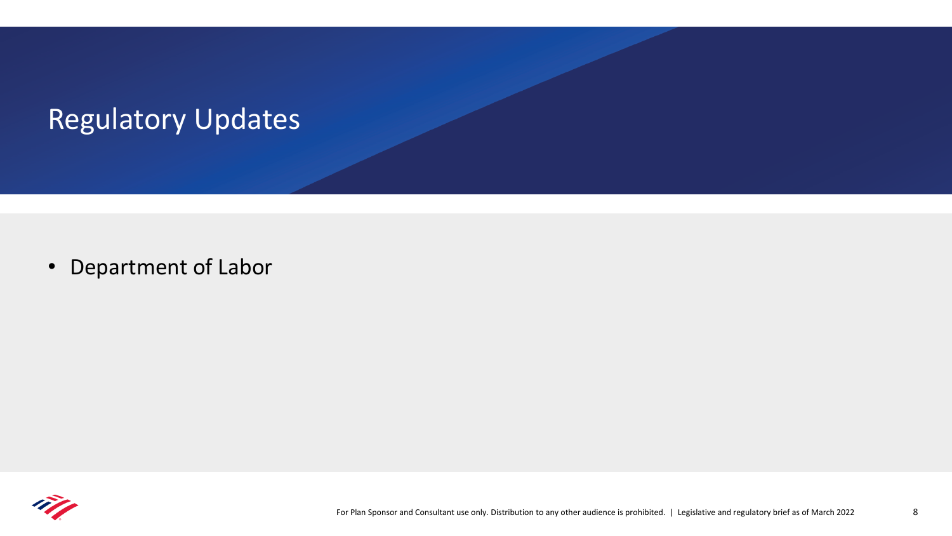# <span id="page-7-0"></span>Regulatory Updates

• Department of Labor

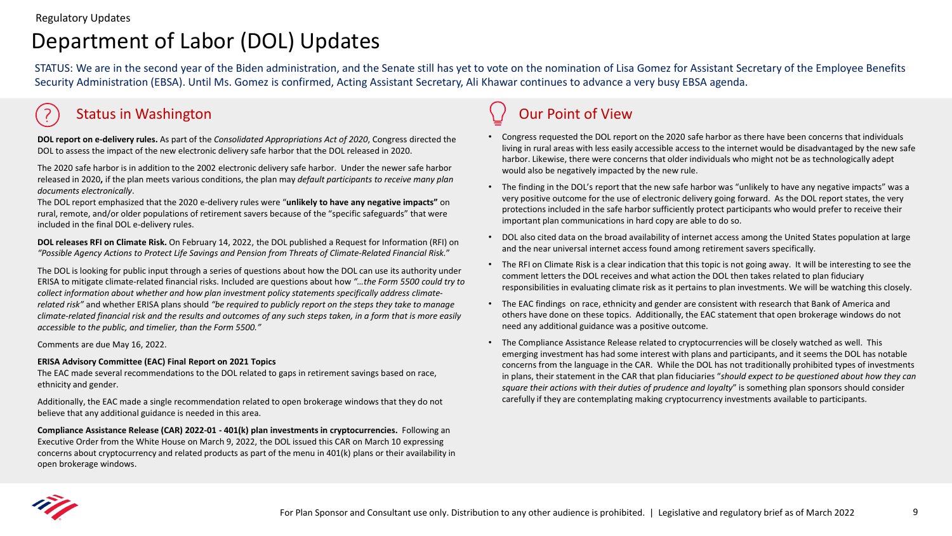## Department of Labor (DOL) Updates

STATUS: We are in the second year of the Biden administration, and the Senate still has yet to vote on the nomination of Lisa Gomez for Assistant Secretary of the Employee Benefits Security Administration (EBSA). Until Ms. Gomez is confirmed, Acting Assistant Secretary, Ali Khawar continues to advance a very busy EBSA agenda.

### Status in Washington Communication Communication Communication Communication Communication Communication Communication Communication Communication Communication Communication Communication Communication Communication Commu

**DOL report on e-delivery rules.** As part of the *Consolidated Appropriations Act of 2020*, Congress directed the DOL to assess the impact of the new electronic delivery safe harbor that the DOL released in 2020.

The 2020 safe harbor is in addition to the 2002 electronic delivery safe harbor. Under the newer safe harbor released in 2020**,** if the plan meets various conditions, the plan may *default participants to receive many plan documents electronically*.

The DOL report emphasized that the 2020 e-delivery rules were "**unlikely to have any negative impacts"** on rural, remote, and/or older populations of retirement savers because of the "specific safeguards" that were included in the final DOL e-delivery rules.

**DOL releases RFI on Climate Risk.** On February 14, 2022, the DOL published a Request for Information (RFI) on *"Possible Agency Actions to Protect Life Savings and Pension from Threats of Climate-Related Financial Risk.*"

The DOL is looking for public input through a series of questions about how the DOL can use its authority under ERISA to mitigate climate-related financial risks. Included are questions about how *"…the Form 5500 could try to collect information about whether and how plan investment policy statements specifically address climaterelated risk"* and whether ERISA plans should *"be required to publicly report on the steps they take to manage climate-related financial risk and the results and outcomes of any such steps taken, in a form that is more easily accessible to the public, and timelier, than the Form 5500."*

Comments are due May 16, 2022.

#### **ERISA Advisory Committee (EAC) Final Report on 2021 Topics**

The EAC made several recommendations to the DOL related to gaps in retirement savings based on race, ethnicity and gender.

Additionally, the EAC made a single recommendation related to open brokerage windows that they do not believe that any additional guidance is needed in this area.

**Compliance Assistance Release (CAR) 2022-01 - 401(k) plan investments in cryptocurrencies.** Following an Executive Order from the White House on March 9, 2022, the DOL issued this CAR on March 10 expressing concerns about cryptocurrency and related products as part of the menu in 401(k) plans or their availability in open brokerage windows.

- Congress requested the DOL report on the 2020 safe harbor as there have been concerns that individuals living in rural areas with less easily accessible access to the internet would be disadvantaged by the new safe harbor. Likewise, there were concerns that older individuals who might not be as technologically adept would also be negatively impacted by the new rule.
- The finding in the DOL's report that the new safe harbor was "unlikely to have any negative impacts" was a very positive outcome for the use of electronic delivery going forward. As the DOL report states, the very protections included in the safe harbor sufficiently protect participants who would prefer to receive their important plan communications in hard copy are able to do so.
- DOL also cited data on the broad availability of internet access among the United States population at large and the near universal internet access found among retirement savers specifically.
- The RFI on Climate Risk is a clear indication that this topic is not going away. It will be interesting to see the comment letters the DOL receives and what action the DOL then takes related to plan fiduciary responsibilities in evaluating climate risk as it pertains to plan investments. We will be watching this closely.
- The EAC findings on race, ethnicity and gender are consistent with research that Bank of America and others have done on these topics. Additionally, the EAC statement that open brokerage windows do not need any additional guidance was a positive outcome.
- The Compliance Assistance Release related to cryptocurrencies will be closely watched as well. This emerging investment has had some interest with plans and participants, and it seems the DOL has notable concerns from the language in the CAR. While the DOL has not traditionally prohibited types of investments in plans, their statement in the CAR that plan fiduciaries "*should expect to be questioned about how they can square their actions with their duties of prudence and loyalty*" is something plan sponsors should consider carefully if they are contemplating making cryptocurrency investments available to participants.

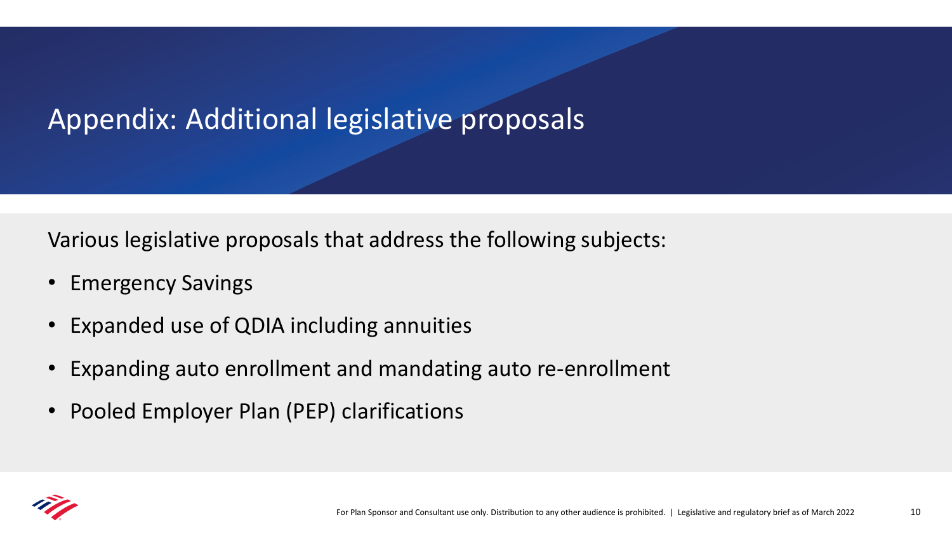# <span id="page-9-0"></span>Appendix: Additional legislative proposals

Various legislative proposals that address the following subjects:

- Emergency Savings
- Expanded use of QDIA including annuities
- Expanding auto enrollment and mandating auto re-enrollment
- Pooled Employer Plan (PEP) clarifications